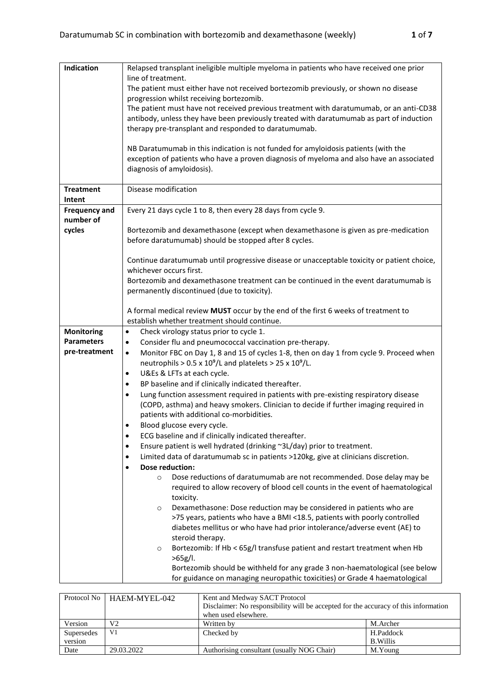| Indication           | Relapsed transplant ineligible multiple myeloma in patients who have received one prior                        |
|----------------------|----------------------------------------------------------------------------------------------------------------|
|                      | line of treatment.                                                                                             |
|                      | The patient must either have not received bortezomib previously, or shown no disease                           |
|                      | progression whilst receiving bortezomib.                                                                       |
|                      | The patient must have not received previous treatment with daratumumab, or an anti-CD38                        |
|                      | antibody, unless they have been previously treated with daratumumab as part of induction                       |
|                      | therapy pre-transplant and responded to daratumumab.                                                           |
|                      | NB Daratumumab in this indication is not funded for amyloidosis patients (with the                             |
|                      | exception of patients who have a proven diagnosis of myeloma and also have an associated                       |
|                      | diagnosis of amyloidosis).                                                                                     |
|                      |                                                                                                                |
| <b>Treatment</b>     | Disease modification                                                                                           |
| Intent               |                                                                                                                |
| <b>Frequency and</b> | Every 21 days cycle 1 to 8, then every 28 days from cycle 9.                                                   |
| number of            |                                                                                                                |
| cycles               | Bortezomib and dexamethasone (except when dexamethasone is given as pre-medication                             |
|                      | before daratumumab) should be stopped after 8 cycles.                                                          |
|                      |                                                                                                                |
|                      | Continue daratumumab until progressive disease or unacceptable toxicity or patient choice,                     |
|                      | whichever occurs first.<br>Bortezomib and dexamethasone treatment can be continued in the event daratumumab is |
|                      | permanently discontinued (due to toxicity).                                                                    |
|                      |                                                                                                                |
|                      | A formal medical review MUST occur by the end of the first 6 weeks of treatment to                             |
|                      | establish whether treatment should continue.                                                                   |
| <b>Monitoring</b>    | Check virology status prior to cycle 1.<br>$\bullet$                                                           |
| <b>Parameters</b>    | Consider flu and pneumococcal vaccination pre-therapy.<br>$\bullet$                                            |
| pre-treatment        | Monitor FBC on Day 1, 8 and 15 of cycles 1-8, then on day 1 from cycle 9. Proceed when<br>$\bullet$            |
|                      | neutrophils > $0.5 \times 10^9$ /L and platelets > $25 \times 10^9$ /L.                                        |
|                      | U&Es & LFTs at each cycle.<br>٠                                                                                |
|                      | BP baseline and if clinically indicated thereafter.<br>٠                                                       |
|                      | Lung function assessment required in patients with pre-existing respiratory disease<br>$\bullet$               |
|                      | (COPD, asthma) and heavy smokers. Clinician to decide if further imaging required in                           |
|                      | patients with additional co-morbidities.                                                                       |
|                      | Blood glucose every cycle.<br>٠                                                                                |
|                      | ECG baseline and if clinically indicated thereafter.<br>$\bullet$                                              |
|                      | Ensure patient is well hydrated (drinking ~3L/day) prior to treatment.<br>٠                                    |
|                      | Limited data of daratumumab sc in patients >120kg, give at clinicians discretion.<br>٠                         |
|                      | <b>Dose reduction:</b><br>$\bullet$<br>Dose reductions of daratumumab are not recommended. Dose delay may be   |
|                      | $\circ$<br>required to allow recovery of blood cell counts in the event of haematological                      |
|                      | toxicity.                                                                                                      |
|                      | Dexamethasone: Dose reduction may be considered in patients who are<br>$\circ$                                 |
|                      | >75 years, patients who have a BMI <18.5, patients with poorly controlled                                      |
|                      | diabetes mellitus or who have had prior intolerance/adverse event (AE) to                                      |
|                      | steroid therapy.                                                                                               |
|                      | Bortezomib: If Hb < 65g/I transfuse patient and restart treatment when Hb<br>$\circ$                           |
|                      | >65g/l.                                                                                                        |
|                      | Bortezomib should be withheld for any grade 3 non-haematological (see below                                    |
|                      | for guidance on managing neuropathic toxicities) or Grade 4 haematological                                     |

|                       | Protocol No HAEM-MYEL-042 | Kent and Medway SACT Protocol<br>Disclaimer: No responsibility will be accepted for the accuracy of this information<br>when used elsewhere. |          |  |  |
|-----------------------|---------------------------|----------------------------------------------------------------------------------------------------------------------------------------------|----------|--|--|
| Version               | V <sub>2</sub>            | Written by                                                                                                                                   | M.Archer |  |  |
| Supersedes<br>version | V <sub>1</sub>            | H.Paddock<br>Checked by<br>B. Willis                                                                                                         |          |  |  |
| Date                  | 29.03.2022                | Authorising consultant (usually NOG Chair)                                                                                                   | M.Young  |  |  |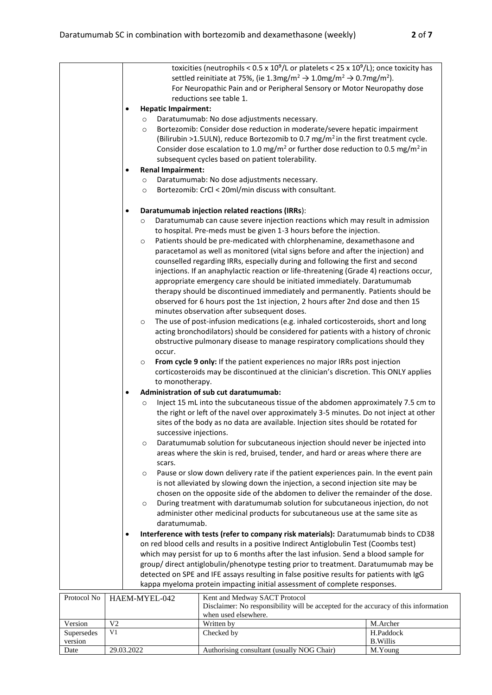| reductions see table 1.<br><b>Hepatic Impairment:</b><br>$\bullet$<br>Daratumumab: No dose adjustments necessary.<br>$\circ$<br>Bortezomib: Consider dose reduction in moderate/severe hepatic impairment<br>$\circ$<br>(Bilirubin >1.5ULN), reduce Bortezomib to 0.7 mg/m <sup>2</sup> in the first treatment cycle.<br>Consider dose escalation to 1.0 mg/m <sup>2</sup> or further dose reduction to 0.5 mg/m <sup>2</sup> in<br>subsequent cycles based on patient tolerability.<br><b>Renal Impairment:</b><br>$\bullet$<br>Daratumumab: No dose adjustments necessary.<br>$\circ$<br>Bortezomib: CrCl < 20ml/min discuss with consultant.<br>$\circ$<br>Daratumumab injection related reactions (IRRs):<br>$\bullet$<br>Daratumumab can cause severe injection reactions which may result in admission<br>$\circ$<br>to hospital. Pre-meds must be given 1-3 hours before the injection.<br>Patients should be pre-medicated with chlorphenamine, dexamethasone and<br>$\circ$<br>paracetamol as well as monitored (vital signs before and after the injection) and<br>counselled regarding IRRs, especially during and following the first and second<br>injections. If an anaphylactic reaction or life-threatening (Grade 4) reactions occur,<br>appropriate emergency care should be initiated immediately. Daratumumab<br>therapy should be discontinued immediately and permanently. Patients should be<br>observed for 6 hours post the 1st injection, 2 hours after 2nd dose and then 15<br>minutes observation after subsequent doses.<br>The use of post-infusion medications (e.g. inhaled corticosteroids, short and long<br>$\circ$<br>acting bronchodilators) should be considered for patients with a history of chronic<br>obstructive pulmonary disease to manage respiratory complications should they<br>occur.<br>From cycle 9 only: If the patient experiences no major IRRs post injection<br>$\circ$<br>corticosteroids may be discontinued at the clinician's discretion. This ONLY applies<br>to monotherapy.<br>Administration of sub cut daratumumab:<br>$\bullet$<br>Inject 15 mL into the subcutaneous tissue of the abdomen approximately 7.5 cm to<br>$\circ$<br>the right or left of the navel over approximately 3-5 minutes. Do not inject at other<br>sites of the body as no data are available. Injection sites should be rotated for<br>successive injections.<br>Daratumumab solution for subcutaneous injection should never be injected into<br>$\circ$<br>areas where the skin is red, bruised, tender, and hard or areas where there are<br>scars.<br>Pause or slow down delivery rate if the patient experiences pain. In the event pain<br>$\circ$<br>is not alleviated by slowing down the injection, a second injection site may be<br>chosen on the opposite side of the abdomen to deliver the remainder of the dose.<br>During treatment with daratumumab solution for subcutaneous injection, do not<br>$\circ$<br>administer other medicinal products for subcutaneous use at the same site as<br>daratumumab.<br>Interference with tests (refer to company risk materials): Daratumumab binds to CD38<br>$\bullet$<br>on red blood cells and results in a positive Indirect Antiglobulin Test (Coombs test)<br>which may persist for up to 6 months after the last infusion. Send a blood sample for<br>group/direct antiglobulin/phenotype testing prior to treatment. Daratumumab may be<br>detected on SPE and IFE assays resulting in false positive results for patients with IgG<br>kappa myeloma protein impacting initial assessment of complete responses.<br>Protocol No<br>HAEM-MYEL-042<br>Kent and Medway SACT Protocol<br>Disclaimer: No responsibility will be accepted for the accuracy of this information<br>when used elsewhere.<br>Version<br>Written by<br>M.Archer<br>V <sub>2</sub><br>V1<br>H.Paddock<br>Supersedes<br>Checked by |         |  | toxicities (neutrophils < $0.5 \times 10^9$ /L or platelets < $25 \times 10^9$ /L); once toxicity has<br>settled reinitiate at 75%, (ie 1.3mg/m <sup>2</sup> $\rightarrow$ 1.0mg/m <sup>2</sup> $\rightarrow$ 0.7mg/m <sup>2</sup> ).<br>For Neuropathic Pain and or Peripheral Sensory or Motor Neuropathy dose |                 |
|----------------------------------------------------------------------------------------------------------------------------------------------------------------------------------------------------------------------------------------------------------------------------------------------------------------------------------------------------------------------------------------------------------------------------------------------------------------------------------------------------------------------------------------------------------------------------------------------------------------------------------------------------------------------------------------------------------------------------------------------------------------------------------------------------------------------------------------------------------------------------------------------------------------------------------------------------------------------------------------------------------------------------------------------------------------------------------------------------------------------------------------------------------------------------------------------------------------------------------------------------------------------------------------------------------------------------------------------------------------------------------------------------------------------------------------------------------------------------------------------------------------------------------------------------------------------------------------------------------------------------------------------------------------------------------------------------------------------------------------------------------------------------------------------------------------------------------------------------------------------------------------------------------------------------------------------------------------------------------------------------------------------------------------------------------------------------------------------------------------------------------------------------------------------------------------------------------------------------------------------------------------------------------------------------------------------------------------------------------------------------------------------------------------------------------------------------------------------------------------------------------------------------------------------------------------------------------------------------------------------------------------------------------------------------------------------------------------------------------------------------------------------------------------------------------------------------------------------------------------------------------------------------------------------------------------------------------------------------------------------------------------------------------------------------------------------------------------------------------------------------------------------------------------------------------------------------------------------------------------------------------------------------------------------------------------------------------------------------------------------------------------------------------------------------------------------------------------------------------------------------------------------------------------------------------------------------------------------------------------------------------------------------------------------------------------------------------------------------------------------------------------------------------------------------------------------------------------------------------------------------------------------------------------------|---------|--|------------------------------------------------------------------------------------------------------------------------------------------------------------------------------------------------------------------------------------------------------------------------------------------------------------------|-----------------|
|                                                                                                                                                                                                                                                                                                                                                                                                                                                                                                                                                                                                                                                                                                                                                                                                                                                                                                                                                                                                                                                                                                                                                                                                                                                                                                                                                                                                                                                                                                                                                                                                                                                                                                                                                                                                                                                                                                                                                                                                                                                                                                                                                                                                                                                                                                                                                                                                                                                                                                                                                                                                                                                                                                                                                                                                                                                                                                                                                                                                                                                                                                                                                                                                                                                                                                                                                                                                                                                                                                                                                                                                                                                                                                                                                                                                                                                                                                                      |         |  |                                                                                                                                                                                                                                                                                                                  |                 |
|                                                                                                                                                                                                                                                                                                                                                                                                                                                                                                                                                                                                                                                                                                                                                                                                                                                                                                                                                                                                                                                                                                                                                                                                                                                                                                                                                                                                                                                                                                                                                                                                                                                                                                                                                                                                                                                                                                                                                                                                                                                                                                                                                                                                                                                                                                                                                                                                                                                                                                                                                                                                                                                                                                                                                                                                                                                                                                                                                                                                                                                                                                                                                                                                                                                                                                                                                                                                                                                                                                                                                                                                                                                                                                                                                                                                                                                                                                                      |         |  |                                                                                                                                                                                                                                                                                                                  |                 |
|                                                                                                                                                                                                                                                                                                                                                                                                                                                                                                                                                                                                                                                                                                                                                                                                                                                                                                                                                                                                                                                                                                                                                                                                                                                                                                                                                                                                                                                                                                                                                                                                                                                                                                                                                                                                                                                                                                                                                                                                                                                                                                                                                                                                                                                                                                                                                                                                                                                                                                                                                                                                                                                                                                                                                                                                                                                                                                                                                                                                                                                                                                                                                                                                                                                                                                                                                                                                                                                                                                                                                                                                                                                                                                                                                                                                                                                                                                                      |         |  |                                                                                                                                                                                                                                                                                                                  |                 |
|                                                                                                                                                                                                                                                                                                                                                                                                                                                                                                                                                                                                                                                                                                                                                                                                                                                                                                                                                                                                                                                                                                                                                                                                                                                                                                                                                                                                                                                                                                                                                                                                                                                                                                                                                                                                                                                                                                                                                                                                                                                                                                                                                                                                                                                                                                                                                                                                                                                                                                                                                                                                                                                                                                                                                                                                                                                                                                                                                                                                                                                                                                                                                                                                                                                                                                                                                                                                                                                                                                                                                                                                                                                                                                                                                                                                                                                                                                                      |         |  |                                                                                                                                                                                                                                                                                                                  |                 |
|                                                                                                                                                                                                                                                                                                                                                                                                                                                                                                                                                                                                                                                                                                                                                                                                                                                                                                                                                                                                                                                                                                                                                                                                                                                                                                                                                                                                                                                                                                                                                                                                                                                                                                                                                                                                                                                                                                                                                                                                                                                                                                                                                                                                                                                                                                                                                                                                                                                                                                                                                                                                                                                                                                                                                                                                                                                                                                                                                                                                                                                                                                                                                                                                                                                                                                                                                                                                                                                                                                                                                                                                                                                                                                                                                                                                                                                                                                                      |         |  |                                                                                                                                                                                                                                                                                                                  |                 |
|                                                                                                                                                                                                                                                                                                                                                                                                                                                                                                                                                                                                                                                                                                                                                                                                                                                                                                                                                                                                                                                                                                                                                                                                                                                                                                                                                                                                                                                                                                                                                                                                                                                                                                                                                                                                                                                                                                                                                                                                                                                                                                                                                                                                                                                                                                                                                                                                                                                                                                                                                                                                                                                                                                                                                                                                                                                                                                                                                                                                                                                                                                                                                                                                                                                                                                                                                                                                                                                                                                                                                                                                                                                                                                                                                                                                                                                                                                                      |         |  |                                                                                                                                                                                                                                                                                                                  |                 |
|                                                                                                                                                                                                                                                                                                                                                                                                                                                                                                                                                                                                                                                                                                                                                                                                                                                                                                                                                                                                                                                                                                                                                                                                                                                                                                                                                                                                                                                                                                                                                                                                                                                                                                                                                                                                                                                                                                                                                                                                                                                                                                                                                                                                                                                                                                                                                                                                                                                                                                                                                                                                                                                                                                                                                                                                                                                                                                                                                                                                                                                                                                                                                                                                                                                                                                                                                                                                                                                                                                                                                                                                                                                                                                                                                                                                                                                                                                                      |         |  |                                                                                                                                                                                                                                                                                                                  |                 |
|                                                                                                                                                                                                                                                                                                                                                                                                                                                                                                                                                                                                                                                                                                                                                                                                                                                                                                                                                                                                                                                                                                                                                                                                                                                                                                                                                                                                                                                                                                                                                                                                                                                                                                                                                                                                                                                                                                                                                                                                                                                                                                                                                                                                                                                                                                                                                                                                                                                                                                                                                                                                                                                                                                                                                                                                                                                                                                                                                                                                                                                                                                                                                                                                                                                                                                                                                                                                                                                                                                                                                                                                                                                                                                                                                                                                                                                                                                                      |         |  |                                                                                                                                                                                                                                                                                                                  |                 |
|                                                                                                                                                                                                                                                                                                                                                                                                                                                                                                                                                                                                                                                                                                                                                                                                                                                                                                                                                                                                                                                                                                                                                                                                                                                                                                                                                                                                                                                                                                                                                                                                                                                                                                                                                                                                                                                                                                                                                                                                                                                                                                                                                                                                                                                                                                                                                                                                                                                                                                                                                                                                                                                                                                                                                                                                                                                                                                                                                                                                                                                                                                                                                                                                                                                                                                                                                                                                                                                                                                                                                                                                                                                                                                                                                                                                                                                                                                                      |         |  |                                                                                                                                                                                                                                                                                                                  |                 |
|                                                                                                                                                                                                                                                                                                                                                                                                                                                                                                                                                                                                                                                                                                                                                                                                                                                                                                                                                                                                                                                                                                                                                                                                                                                                                                                                                                                                                                                                                                                                                                                                                                                                                                                                                                                                                                                                                                                                                                                                                                                                                                                                                                                                                                                                                                                                                                                                                                                                                                                                                                                                                                                                                                                                                                                                                                                                                                                                                                                                                                                                                                                                                                                                                                                                                                                                                                                                                                                                                                                                                                                                                                                                                                                                                                                                                                                                                                                      |         |  |                                                                                                                                                                                                                                                                                                                  |                 |
|                                                                                                                                                                                                                                                                                                                                                                                                                                                                                                                                                                                                                                                                                                                                                                                                                                                                                                                                                                                                                                                                                                                                                                                                                                                                                                                                                                                                                                                                                                                                                                                                                                                                                                                                                                                                                                                                                                                                                                                                                                                                                                                                                                                                                                                                                                                                                                                                                                                                                                                                                                                                                                                                                                                                                                                                                                                                                                                                                                                                                                                                                                                                                                                                                                                                                                                                                                                                                                                                                                                                                                                                                                                                                                                                                                                                                                                                                                                      |         |  |                                                                                                                                                                                                                                                                                                                  |                 |
|                                                                                                                                                                                                                                                                                                                                                                                                                                                                                                                                                                                                                                                                                                                                                                                                                                                                                                                                                                                                                                                                                                                                                                                                                                                                                                                                                                                                                                                                                                                                                                                                                                                                                                                                                                                                                                                                                                                                                                                                                                                                                                                                                                                                                                                                                                                                                                                                                                                                                                                                                                                                                                                                                                                                                                                                                                                                                                                                                                                                                                                                                                                                                                                                                                                                                                                                                                                                                                                                                                                                                                                                                                                                                                                                                                                                                                                                                                                      |         |  |                                                                                                                                                                                                                                                                                                                  |                 |
|                                                                                                                                                                                                                                                                                                                                                                                                                                                                                                                                                                                                                                                                                                                                                                                                                                                                                                                                                                                                                                                                                                                                                                                                                                                                                                                                                                                                                                                                                                                                                                                                                                                                                                                                                                                                                                                                                                                                                                                                                                                                                                                                                                                                                                                                                                                                                                                                                                                                                                                                                                                                                                                                                                                                                                                                                                                                                                                                                                                                                                                                                                                                                                                                                                                                                                                                                                                                                                                                                                                                                                                                                                                                                                                                                                                                                                                                                                                      |         |  |                                                                                                                                                                                                                                                                                                                  |                 |
|                                                                                                                                                                                                                                                                                                                                                                                                                                                                                                                                                                                                                                                                                                                                                                                                                                                                                                                                                                                                                                                                                                                                                                                                                                                                                                                                                                                                                                                                                                                                                                                                                                                                                                                                                                                                                                                                                                                                                                                                                                                                                                                                                                                                                                                                                                                                                                                                                                                                                                                                                                                                                                                                                                                                                                                                                                                                                                                                                                                                                                                                                                                                                                                                                                                                                                                                                                                                                                                                                                                                                                                                                                                                                                                                                                                                                                                                                                                      |         |  |                                                                                                                                                                                                                                                                                                                  |                 |
|                                                                                                                                                                                                                                                                                                                                                                                                                                                                                                                                                                                                                                                                                                                                                                                                                                                                                                                                                                                                                                                                                                                                                                                                                                                                                                                                                                                                                                                                                                                                                                                                                                                                                                                                                                                                                                                                                                                                                                                                                                                                                                                                                                                                                                                                                                                                                                                                                                                                                                                                                                                                                                                                                                                                                                                                                                                                                                                                                                                                                                                                                                                                                                                                                                                                                                                                                                                                                                                                                                                                                                                                                                                                                                                                                                                                                                                                                                                      |         |  |                                                                                                                                                                                                                                                                                                                  |                 |
|                                                                                                                                                                                                                                                                                                                                                                                                                                                                                                                                                                                                                                                                                                                                                                                                                                                                                                                                                                                                                                                                                                                                                                                                                                                                                                                                                                                                                                                                                                                                                                                                                                                                                                                                                                                                                                                                                                                                                                                                                                                                                                                                                                                                                                                                                                                                                                                                                                                                                                                                                                                                                                                                                                                                                                                                                                                                                                                                                                                                                                                                                                                                                                                                                                                                                                                                                                                                                                                                                                                                                                                                                                                                                                                                                                                                                                                                                                                      |         |  |                                                                                                                                                                                                                                                                                                                  |                 |
|                                                                                                                                                                                                                                                                                                                                                                                                                                                                                                                                                                                                                                                                                                                                                                                                                                                                                                                                                                                                                                                                                                                                                                                                                                                                                                                                                                                                                                                                                                                                                                                                                                                                                                                                                                                                                                                                                                                                                                                                                                                                                                                                                                                                                                                                                                                                                                                                                                                                                                                                                                                                                                                                                                                                                                                                                                                                                                                                                                                                                                                                                                                                                                                                                                                                                                                                                                                                                                                                                                                                                                                                                                                                                                                                                                                                                                                                                                                      |         |  |                                                                                                                                                                                                                                                                                                                  |                 |
|                                                                                                                                                                                                                                                                                                                                                                                                                                                                                                                                                                                                                                                                                                                                                                                                                                                                                                                                                                                                                                                                                                                                                                                                                                                                                                                                                                                                                                                                                                                                                                                                                                                                                                                                                                                                                                                                                                                                                                                                                                                                                                                                                                                                                                                                                                                                                                                                                                                                                                                                                                                                                                                                                                                                                                                                                                                                                                                                                                                                                                                                                                                                                                                                                                                                                                                                                                                                                                                                                                                                                                                                                                                                                                                                                                                                                                                                                                                      |         |  |                                                                                                                                                                                                                                                                                                                  |                 |
|                                                                                                                                                                                                                                                                                                                                                                                                                                                                                                                                                                                                                                                                                                                                                                                                                                                                                                                                                                                                                                                                                                                                                                                                                                                                                                                                                                                                                                                                                                                                                                                                                                                                                                                                                                                                                                                                                                                                                                                                                                                                                                                                                                                                                                                                                                                                                                                                                                                                                                                                                                                                                                                                                                                                                                                                                                                                                                                                                                                                                                                                                                                                                                                                                                                                                                                                                                                                                                                                                                                                                                                                                                                                                                                                                                                                                                                                                                                      |         |  |                                                                                                                                                                                                                                                                                                                  |                 |
|                                                                                                                                                                                                                                                                                                                                                                                                                                                                                                                                                                                                                                                                                                                                                                                                                                                                                                                                                                                                                                                                                                                                                                                                                                                                                                                                                                                                                                                                                                                                                                                                                                                                                                                                                                                                                                                                                                                                                                                                                                                                                                                                                                                                                                                                                                                                                                                                                                                                                                                                                                                                                                                                                                                                                                                                                                                                                                                                                                                                                                                                                                                                                                                                                                                                                                                                                                                                                                                                                                                                                                                                                                                                                                                                                                                                                                                                                                                      |         |  |                                                                                                                                                                                                                                                                                                                  |                 |
|                                                                                                                                                                                                                                                                                                                                                                                                                                                                                                                                                                                                                                                                                                                                                                                                                                                                                                                                                                                                                                                                                                                                                                                                                                                                                                                                                                                                                                                                                                                                                                                                                                                                                                                                                                                                                                                                                                                                                                                                                                                                                                                                                                                                                                                                                                                                                                                                                                                                                                                                                                                                                                                                                                                                                                                                                                                                                                                                                                                                                                                                                                                                                                                                                                                                                                                                                                                                                                                                                                                                                                                                                                                                                                                                                                                                                                                                                                                      |         |  |                                                                                                                                                                                                                                                                                                                  |                 |
|                                                                                                                                                                                                                                                                                                                                                                                                                                                                                                                                                                                                                                                                                                                                                                                                                                                                                                                                                                                                                                                                                                                                                                                                                                                                                                                                                                                                                                                                                                                                                                                                                                                                                                                                                                                                                                                                                                                                                                                                                                                                                                                                                                                                                                                                                                                                                                                                                                                                                                                                                                                                                                                                                                                                                                                                                                                                                                                                                                                                                                                                                                                                                                                                                                                                                                                                                                                                                                                                                                                                                                                                                                                                                                                                                                                                                                                                                                                      |         |  |                                                                                                                                                                                                                                                                                                                  |                 |
|                                                                                                                                                                                                                                                                                                                                                                                                                                                                                                                                                                                                                                                                                                                                                                                                                                                                                                                                                                                                                                                                                                                                                                                                                                                                                                                                                                                                                                                                                                                                                                                                                                                                                                                                                                                                                                                                                                                                                                                                                                                                                                                                                                                                                                                                                                                                                                                                                                                                                                                                                                                                                                                                                                                                                                                                                                                                                                                                                                                                                                                                                                                                                                                                                                                                                                                                                                                                                                                                                                                                                                                                                                                                                                                                                                                                                                                                                                                      |         |  |                                                                                                                                                                                                                                                                                                                  |                 |
|                                                                                                                                                                                                                                                                                                                                                                                                                                                                                                                                                                                                                                                                                                                                                                                                                                                                                                                                                                                                                                                                                                                                                                                                                                                                                                                                                                                                                                                                                                                                                                                                                                                                                                                                                                                                                                                                                                                                                                                                                                                                                                                                                                                                                                                                                                                                                                                                                                                                                                                                                                                                                                                                                                                                                                                                                                                                                                                                                                                                                                                                                                                                                                                                                                                                                                                                                                                                                                                                                                                                                                                                                                                                                                                                                                                                                                                                                                                      |         |  |                                                                                                                                                                                                                                                                                                                  |                 |
|                                                                                                                                                                                                                                                                                                                                                                                                                                                                                                                                                                                                                                                                                                                                                                                                                                                                                                                                                                                                                                                                                                                                                                                                                                                                                                                                                                                                                                                                                                                                                                                                                                                                                                                                                                                                                                                                                                                                                                                                                                                                                                                                                                                                                                                                                                                                                                                                                                                                                                                                                                                                                                                                                                                                                                                                                                                                                                                                                                                                                                                                                                                                                                                                                                                                                                                                                                                                                                                                                                                                                                                                                                                                                                                                                                                                                                                                                                                      |         |  |                                                                                                                                                                                                                                                                                                                  |                 |
|                                                                                                                                                                                                                                                                                                                                                                                                                                                                                                                                                                                                                                                                                                                                                                                                                                                                                                                                                                                                                                                                                                                                                                                                                                                                                                                                                                                                                                                                                                                                                                                                                                                                                                                                                                                                                                                                                                                                                                                                                                                                                                                                                                                                                                                                                                                                                                                                                                                                                                                                                                                                                                                                                                                                                                                                                                                                                                                                                                                                                                                                                                                                                                                                                                                                                                                                                                                                                                                                                                                                                                                                                                                                                                                                                                                                                                                                                                                      |         |  |                                                                                                                                                                                                                                                                                                                  |                 |
|                                                                                                                                                                                                                                                                                                                                                                                                                                                                                                                                                                                                                                                                                                                                                                                                                                                                                                                                                                                                                                                                                                                                                                                                                                                                                                                                                                                                                                                                                                                                                                                                                                                                                                                                                                                                                                                                                                                                                                                                                                                                                                                                                                                                                                                                                                                                                                                                                                                                                                                                                                                                                                                                                                                                                                                                                                                                                                                                                                                                                                                                                                                                                                                                                                                                                                                                                                                                                                                                                                                                                                                                                                                                                                                                                                                                                                                                                                                      |         |  |                                                                                                                                                                                                                                                                                                                  |                 |
|                                                                                                                                                                                                                                                                                                                                                                                                                                                                                                                                                                                                                                                                                                                                                                                                                                                                                                                                                                                                                                                                                                                                                                                                                                                                                                                                                                                                                                                                                                                                                                                                                                                                                                                                                                                                                                                                                                                                                                                                                                                                                                                                                                                                                                                                                                                                                                                                                                                                                                                                                                                                                                                                                                                                                                                                                                                                                                                                                                                                                                                                                                                                                                                                                                                                                                                                                                                                                                                                                                                                                                                                                                                                                                                                                                                                                                                                                                                      |         |  |                                                                                                                                                                                                                                                                                                                  |                 |
|                                                                                                                                                                                                                                                                                                                                                                                                                                                                                                                                                                                                                                                                                                                                                                                                                                                                                                                                                                                                                                                                                                                                                                                                                                                                                                                                                                                                                                                                                                                                                                                                                                                                                                                                                                                                                                                                                                                                                                                                                                                                                                                                                                                                                                                                                                                                                                                                                                                                                                                                                                                                                                                                                                                                                                                                                                                                                                                                                                                                                                                                                                                                                                                                                                                                                                                                                                                                                                                                                                                                                                                                                                                                                                                                                                                                                                                                                                                      |         |  |                                                                                                                                                                                                                                                                                                                  |                 |
|                                                                                                                                                                                                                                                                                                                                                                                                                                                                                                                                                                                                                                                                                                                                                                                                                                                                                                                                                                                                                                                                                                                                                                                                                                                                                                                                                                                                                                                                                                                                                                                                                                                                                                                                                                                                                                                                                                                                                                                                                                                                                                                                                                                                                                                                                                                                                                                                                                                                                                                                                                                                                                                                                                                                                                                                                                                                                                                                                                                                                                                                                                                                                                                                                                                                                                                                                                                                                                                                                                                                                                                                                                                                                                                                                                                                                                                                                                                      |         |  |                                                                                                                                                                                                                                                                                                                  |                 |
|                                                                                                                                                                                                                                                                                                                                                                                                                                                                                                                                                                                                                                                                                                                                                                                                                                                                                                                                                                                                                                                                                                                                                                                                                                                                                                                                                                                                                                                                                                                                                                                                                                                                                                                                                                                                                                                                                                                                                                                                                                                                                                                                                                                                                                                                                                                                                                                                                                                                                                                                                                                                                                                                                                                                                                                                                                                                                                                                                                                                                                                                                                                                                                                                                                                                                                                                                                                                                                                                                                                                                                                                                                                                                                                                                                                                                                                                                                                      |         |  |                                                                                                                                                                                                                                                                                                                  |                 |
|                                                                                                                                                                                                                                                                                                                                                                                                                                                                                                                                                                                                                                                                                                                                                                                                                                                                                                                                                                                                                                                                                                                                                                                                                                                                                                                                                                                                                                                                                                                                                                                                                                                                                                                                                                                                                                                                                                                                                                                                                                                                                                                                                                                                                                                                                                                                                                                                                                                                                                                                                                                                                                                                                                                                                                                                                                                                                                                                                                                                                                                                                                                                                                                                                                                                                                                                                                                                                                                                                                                                                                                                                                                                                                                                                                                                                                                                                                                      |         |  |                                                                                                                                                                                                                                                                                                                  |                 |
|                                                                                                                                                                                                                                                                                                                                                                                                                                                                                                                                                                                                                                                                                                                                                                                                                                                                                                                                                                                                                                                                                                                                                                                                                                                                                                                                                                                                                                                                                                                                                                                                                                                                                                                                                                                                                                                                                                                                                                                                                                                                                                                                                                                                                                                                                                                                                                                                                                                                                                                                                                                                                                                                                                                                                                                                                                                                                                                                                                                                                                                                                                                                                                                                                                                                                                                                                                                                                                                                                                                                                                                                                                                                                                                                                                                                                                                                                                                      |         |  |                                                                                                                                                                                                                                                                                                                  |                 |
|                                                                                                                                                                                                                                                                                                                                                                                                                                                                                                                                                                                                                                                                                                                                                                                                                                                                                                                                                                                                                                                                                                                                                                                                                                                                                                                                                                                                                                                                                                                                                                                                                                                                                                                                                                                                                                                                                                                                                                                                                                                                                                                                                                                                                                                                                                                                                                                                                                                                                                                                                                                                                                                                                                                                                                                                                                                                                                                                                                                                                                                                                                                                                                                                                                                                                                                                                                                                                                                                                                                                                                                                                                                                                                                                                                                                                                                                                                                      |         |  |                                                                                                                                                                                                                                                                                                                  |                 |
|                                                                                                                                                                                                                                                                                                                                                                                                                                                                                                                                                                                                                                                                                                                                                                                                                                                                                                                                                                                                                                                                                                                                                                                                                                                                                                                                                                                                                                                                                                                                                                                                                                                                                                                                                                                                                                                                                                                                                                                                                                                                                                                                                                                                                                                                                                                                                                                                                                                                                                                                                                                                                                                                                                                                                                                                                                                                                                                                                                                                                                                                                                                                                                                                                                                                                                                                                                                                                                                                                                                                                                                                                                                                                                                                                                                                                                                                                                                      |         |  |                                                                                                                                                                                                                                                                                                                  |                 |
|                                                                                                                                                                                                                                                                                                                                                                                                                                                                                                                                                                                                                                                                                                                                                                                                                                                                                                                                                                                                                                                                                                                                                                                                                                                                                                                                                                                                                                                                                                                                                                                                                                                                                                                                                                                                                                                                                                                                                                                                                                                                                                                                                                                                                                                                                                                                                                                                                                                                                                                                                                                                                                                                                                                                                                                                                                                                                                                                                                                                                                                                                                                                                                                                                                                                                                                                                                                                                                                                                                                                                                                                                                                                                                                                                                                                                                                                                                                      |         |  |                                                                                                                                                                                                                                                                                                                  |                 |
|                                                                                                                                                                                                                                                                                                                                                                                                                                                                                                                                                                                                                                                                                                                                                                                                                                                                                                                                                                                                                                                                                                                                                                                                                                                                                                                                                                                                                                                                                                                                                                                                                                                                                                                                                                                                                                                                                                                                                                                                                                                                                                                                                                                                                                                                                                                                                                                                                                                                                                                                                                                                                                                                                                                                                                                                                                                                                                                                                                                                                                                                                                                                                                                                                                                                                                                                                                                                                                                                                                                                                                                                                                                                                                                                                                                                                                                                                                                      |         |  |                                                                                                                                                                                                                                                                                                                  |                 |
|                                                                                                                                                                                                                                                                                                                                                                                                                                                                                                                                                                                                                                                                                                                                                                                                                                                                                                                                                                                                                                                                                                                                                                                                                                                                                                                                                                                                                                                                                                                                                                                                                                                                                                                                                                                                                                                                                                                                                                                                                                                                                                                                                                                                                                                                                                                                                                                                                                                                                                                                                                                                                                                                                                                                                                                                                                                                                                                                                                                                                                                                                                                                                                                                                                                                                                                                                                                                                                                                                                                                                                                                                                                                                                                                                                                                                                                                                                                      |         |  |                                                                                                                                                                                                                                                                                                                  |                 |
|                                                                                                                                                                                                                                                                                                                                                                                                                                                                                                                                                                                                                                                                                                                                                                                                                                                                                                                                                                                                                                                                                                                                                                                                                                                                                                                                                                                                                                                                                                                                                                                                                                                                                                                                                                                                                                                                                                                                                                                                                                                                                                                                                                                                                                                                                                                                                                                                                                                                                                                                                                                                                                                                                                                                                                                                                                                                                                                                                                                                                                                                                                                                                                                                                                                                                                                                                                                                                                                                                                                                                                                                                                                                                                                                                                                                                                                                                                                      |         |  |                                                                                                                                                                                                                                                                                                                  |                 |
|                                                                                                                                                                                                                                                                                                                                                                                                                                                                                                                                                                                                                                                                                                                                                                                                                                                                                                                                                                                                                                                                                                                                                                                                                                                                                                                                                                                                                                                                                                                                                                                                                                                                                                                                                                                                                                                                                                                                                                                                                                                                                                                                                                                                                                                                                                                                                                                                                                                                                                                                                                                                                                                                                                                                                                                                                                                                                                                                                                                                                                                                                                                                                                                                                                                                                                                                                                                                                                                                                                                                                                                                                                                                                                                                                                                                                                                                                                                      |         |  |                                                                                                                                                                                                                                                                                                                  |                 |
|                                                                                                                                                                                                                                                                                                                                                                                                                                                                                                                                                                                                                                                                                                                                                                                                                                                                                                                                                                                                                                                                                                                                                                                                                                                                                                                                                                                                                                                                                                                                                                                                                                                                                                                                                                                                                                                                                                                                                                                                                                                                                                                                                                                                                                                                                                                                                                                                                                                                                                                                                                                                                                                                                                                                                                                                                                                                                                                                                                                                                                                                                                                                                                                                                                                                                                                                                                                                                                                                                                                                                                                                                                                                                                                                                                                                                                                                                                                      |         |  |                                                                                                                                                                                                                                                                                                                  |                 |
|                                                                                                                                                                                                                                                                                                                                                                                                                                                                                                                                                                                                                                                                                                                                                                                                                                                                                                                                                                                                                                                                                                                                                                                                                                                                                                                                                                                                                                                                                                                                                                                                                                                                                                                                                                                                                                                                                                                                                                                                                                                                                                                                                                                                                                                                                                                                                                                                                                                                                                                                                                                                                                                                                                                                                                                                                                                                                                                                                                                                                                                                                                                                                                                                                                                                                                                                                                                                                                                                                                                                                                                                                                                                                                                                                                                                                                                                                                                      |         |  |                                                                                                                                                                                                                                                                                                                  |                 |
|                                                                                                                                                                                                                                                                                                                                                                                                                                                                                                                                                                                                                                                                                                                                                                                                                                                                                                                                                                                                                                                                                                                                                                                                                                                                                                                                                                                                                                                                                                                                                                                                                                                                                                                                                                                                                                                                                                                                                                                                                                                                                                                                                                                                                                                                                                                                                                                                                                                                                                                                                                                                                                                                                                                                                                                                                                                                                                                                                                                                                                                                                                                                                                                                                                                                                                                                                                                                                                                                                                                                                                                                                                                                                                                                                                                                                                                                                                                      |         |  |                                                                                                                                                                                                                                                                                                                  |                 |
|                                                                                                                                                                                                                                                                                                                                                                                                                                                                                                                                                                                                                                                                                                                                                                                                                                                                                                                                                                                                                                                                                                                                                                                                                                                                                                                                                                                                                                                                                                                                                                                                                                                                                                                                                                                                                                                                                                                                                                                                                                                                                                                                                                                                                                                                                                                                                                                                                                                                                                                                                                                                                                                                                                                                                                                                                                                                                                                                                                                                                                                                                                                                                                                                                                                                                                                                                                                                                                                                                                                                                                                                                                                                                                                                                                                                                                                                                                                      |         |  |                                                                                                                                                                                                                                                                                                                  |                 |
|                                                                                                                                                                                                                                                                                                                                                                                                                                                                                                                                                                                                                                                                                                                                                                                                                                                                                                                                                                                                                                                                                                                                                                                                                                                                                                                                                                                                                                                                                                                                                                                                                                                                                                                                                                                                                                                                                                                                                                                                                                                                                                                                                                                                                                                                                                                                                                                                                                                                                                                                                                                                                                                                                                                                                                                                                                                                                                                                                                                                                                                                                                                                                                                                                                                                                                                                                                                                                                                                                                                                                                                                                                                                                                                                                                                                                                                                                                                      |         |  |                                                                                                                                                                                                                                                                                                                  |                 |
|                                                                                                                                                                                                                                                                                                                                                                                                                                                                                                                                                                                                                                                                                                                                                                                                                                                                                                                                                                                                                                                                                                                                                                                                                                                                                                                                                                                                                                                                                                                                                                                                                                                                                                                                                                                                                                                                                                                                                                                                                                                                                                                                                                                                                                                                                                                                                                                                                                                                                                                                                                                                                                                                                                                                                                                                                                                                                                                                                                                                                                                                                                                                                                                                                                                                                                                                                                                                                                                                                                                                                                                                                                                                                                                                                                                                                                                                                                                      |         |  |                                                                                                                                                                                                                                                                                                                  |                 |
|                                                                                                                                                                                                                                                                                                                                                                                                                                                                                                                                                                                                                                                                                                                                                                                                                                                                                                                                                                                                                                                                                                                                                                                                                                                                                                                                                                                                                                                                                                                                                                                                                                                                                                                                                                                                                                                                                                                                                                                                                                                                                                                                                                                                                                                                                                                                                                                                                                                                                                                                                                                                                                                                                                                                                                                                                                                                                                                                                                                                                                                                                                                                                                                                                                                                                                                                                                                                                                                                                                                                                                                                                                                                                                                                                                                                                                                                                                                      |         |  |                                                                                                                                                                                                                                                                                                                  |                 |
|                                                                                                                                                                                                                                                                                                                                                                                                                                                                                                                                                                                                                                                                                                                                                                                                                                                                                                                                                                                                                                                                                                                                                                                                                                                                                                                                                                                                                                                                                                                                                                                                                                                                                                                                                                                                                                                                                                                                                                                                                                                                                                                                                                                                                                                                                                                                                                                                                                                                                                                                                                                                                                                                                                                                                                                                                                                                                                                                                                                                                                                                                                                                                                                                                                                                                                                                                                                                                                                                                                                                                                                                                                                                                                                                                                                                                                                                                                                      |         |  |                                                                                                                                                                                                                                                                                                                  |                 |
|                                                                                                                                                                                                                                                                                                                                                                                                                                                                                                                                                                                                                                                                                                                                                                                                                                                                                                                                                                                                                                                                                                                                                                                                                                                                                                                                                                                                                                                                                                                                                                                                                                                                                                                                                                                                                                                                                                                                                                                                                                                                                                                                                                                                                                                                                                                                                                                                                                                                                                                                                                                                                                                                                                                                                                                                                                                                                                                                                                                                                                                                                                                                                                                                                                                                                                                                                                                                                                                                                                                                                                                                                                                                                                                                                                                                                                                                                                                      |         |  |                                                                                                                                                                                                                                                                                                                  |                 |
|                                                                                                                                                                                                                                                                                                                                                                                                                                                                                                                                                                                                                                                                                                                                                                                                                                                                                                                                                                                                                                                                                                                                                                                                                                                                                                                                                                                                                                                                                                                                                                                                                                                                                                                                                                                                                                                                                                                                                                                                                                                                                                                                                                                                                                                                                                                                                                                                                                                                                                                                                                                                                                                                                                                                                                                                                                                                                                                                                                                                                                                                                                                                                                                                                                                                                                                                                                                                                                                                                                                                                                                                                                                                                                                                                                                                                                                                                                                      |         |  |                                                                                                                                                                                                                                                                                                                  |                 |
|                                                                                                                                                                                                                                                                                                                                                                                                                                                                                                                                                                                                                                                                                                                                                                                                                                                                                                                                                                                                                                                                                                                                                                                                                                                                                                                                                                                                                                                                                                                                                                                                                                                                                                                                                                                                                                                                                                                                                                                                                                                                                                                                                                                                                                                                                                                                                                                                                                                                                                                                                                                                                                                                                                                                                                                                                                                                                                                                                                                                                                                                                                                                                                                                                                                                                                                                                                                                                                                                                                                                                                                                                                                                                                                                                                                                                                                                                                                      |         |  |                                                                                                                                                                                                                                                                                                                  |                 |
|                                                                                                                                                                                                                                                                                                                                                                                                                                                                                                                                                                                                                                                                                                                                                                                                                                                                                                                                                                                                                                                                                                                                                                                                                                                                                                                                                                                                                                                                                                                                                                                                                                                                                                                                                                                                                                                                                                                                                                                                                                                                                                                                                                                                                                                                                                                                                                                                                                                                                                                                                                                                                                                                                                                                                                                                                                                                                                                                                                                                                                                                                                                                                                                                                                                                                                                                                                                                                                                                                                                                                                                                                                                                                                                                                                                                                                                                                                                      |         |  |                                                                                                                                                                                                                                                                                                                  |                 |
|                                                                                                                                                                                                                                                                                                                                                                                                                                                                                                                                                                                                                                                                                                                                                                                                                                                                                                                                                                                                                                                                                                                                                                                                                                                                                                                                                                                                                                                                                                                                                                                                                                                                                                                                                                                                                                                                                                                                                                                                                                                                                                                                                                                                                                                                                                                                                                                                                                                                                                                                                                                                                                                                                                                                                                                                                                                                                                                                                                                                                                                                                                                                                                                                                                                                                                                                                                                                                                                                                                                                                                                                                                                                                                                                                                                                                                                                                                                      |         |  |                                                                                                                                                                                                                                                                                                                  |                 |
|                                                                                                                                                                                                                                                                                                                                                                                                                                                                                                                                                                                                                                                                                                                                                                                                                                                                                                                                                                                                                                                                                                                                                                                                                                                                                                                                                                                                                                                                                                                                                                                                                                                                                                                                                                                                                                                                                                                                                                                                                                                                                                                                                                                                                                                                                                                                                                                                                                                                                                                                                                                                                                                                                                                                                                                                                                                                                                                                                                                                                                                                                                                                                                                                                                                                                                                                                                                                                                                                                                                                                                                                                                                                                                                                                                                                                                                                                                                      |         |  |                                                                                                                                                                                                                                                                                                                  |                 |
|                                                                                                                                                                                                                                                                                                                                                                                                                                                                                                                                                                                                                                                                                                                                                                                                                                                                                                                                                                                                                                                                                                                                                                                                                                                                                                                                                                                                                                                                                                                                                                                                                                                                                                                                                                                                                                                                                                                                                                                                                                                                                                                                                                                                                                                                                                                                                                                                                                                                                                                                                                                                                                                                                                                                                                                                                                                                                                                                                                                                                                                                                                                                                                                                                                                                                                                                                                                                                                                                                                                                                                                                                                                                                                                                                                                                                                                                                                                      |         |  |                                                                                                                                                                                                                                                                                                                  |                 |
|                                                                                                                                                                                                                                                                                                                                                                                                                                                                                                                                                                                                                                                                                                                                                                                                                                                                                                                                                                                                                                                                                                                                                                                                                                                                                                                                                                                                                                                                                                                                                                                                                                                                                                                                                                                                                                                                                                                                                                                                                                                                                                                                                                                                                                                                                                                                                                                                                                                                                                                                                                                                                                                                                                                                                                                                                                                                                                                                                                                                                                                                                                                                                                                                                                                                                                                                                                                                                                                                                                                                                                                                                                                                                                                                                                                                                                                                                                                      | version |  |                                                                                                                                                                                                                                                                                                                  | <b>B.Willis</b> |

Date 29.03.2022 Authorising consultant (usually NOG Chair) M.Young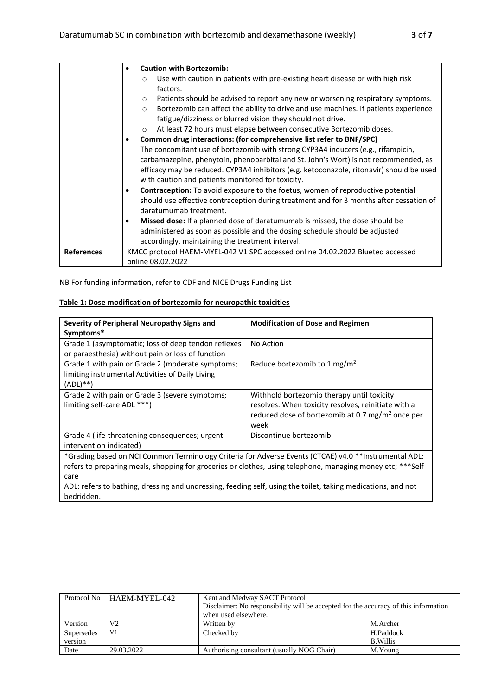|                   | <b>Caution with Bortezomib:</b><br>٠                                                                |
|-------------------|-----------------------------------------------------------------------------------------------------|
|                   | Use with caution in patients with pre-existing heart disease or with high risk<br>$\Omega$          |
|                   | factors.                                                                                            |
|                   | Patients should be advised to report any new or worsening respiratory symptoms.<br>$\circ$          |
|                   | Bortezomib can affect the ability to drive and use machines. If patients experience<br>$\circ$      |
|                   | fatigue/dizziness or blurred vision they should not drive.                                          |
|                   | At least 72 hours must elapse between consecutive Bortezomib doses.<br>$\circ$                      |
|                   | Common drug interactions: (for comprehensive list refer to BNF/SPC)<br>٠                            |
|                   | The concomitant use of bortezomib with strong CYP3A4 inducers (e.g., rifampicin,                    |
|                   | carbamazepine, phenytoin, phenobarbital and St. John's Wort) is not recommended, as                 |
|                   | efficacy may be reduced. CYP3A4 inhibitors (e.g. ketoconazole, ritonavir) should be used            |
|                   | with caution and patients monitored for toxicity.                                                   |
|                   | <b>Contraception:</b> To avoid exposure to the foetus, women of reproductive potential<br>$\bullet$ |
|                   | should use effective contraception during treatment and for 3 months after cessation of             |
|                   | daratumumab treatment.                                                                              |
|                   | <b>Missed dose:</b> If a planned dose of daratumumab is missed, the dose should be<br>$\bullet$     |
|                   | administered as soon as possible and the dosing schedule should be adjusted                         |
|                   | accordingly, maintaining the treatment interval.                                                    |
| <b>References</b> | KMCC protocol HAEM-MYEL-042 V1 SPC accessed online 04.02.2022 Blueteq accessed                      |
|                   | online 08.02.2022                                                                                   |

NB For funding information, refer to CDF and NICE Drugs Funding List

### **Table 1: Dose modification of bortezomib for neuropathic toxicities**

| Severity of Peripheral Neuropathy Signs and<br>Symptoms*                                                                                                                                                                                                                                                                                                  | <b>Modification of Dose and Regimen</b>                                                                                                                                   |  |  |  |
|-----------------------------------------------------------------------------------------------------------------------------------------------------------------------------------------------------------------------------------------------------------------------------------------------------------------------------------------------------------|---------------------------------------------------------------------------------------------------------------------------------------------------------------------------|--|--|--|
| Grade 1 (asymptomatic; loss of deep tendon reflexes<br>or paraesthesia) without pain or loss of function                                                                                                                                                                                                                                                  | No Action                                                                                                                                                                 |  |  |  |
| Grade 1 with pain or Grade 2 (moderate symptoms;<br>limiting instrumental Activities of Daily Living<br>$(ADL)$ **)                                                                                                                                                                                                                                       | Reduce bortezomib to 1 mg/m <sup>2</sup>                                                                                                                                  |  |  |  |
| Grade 2 with pain or Grade 3 (severe symptoms;<br>limiting self-care ADL ***)                                                                                                                                                                                                                                                                             | Withhold bortezomib therapy until toxicity<br>resolves. When toxicity resolves, reinitiate with a<br>reduced dose of bortezomib at 0.7 mg/m <sup>2</sup> once per<br>week |  |  |  |
| Grade 4 (life-threatening consequences; urgent<br>intervention indicated)                                                                                                                                                                                                                                                                                 | Discontinue bortezomib                                                                                                                                                    |  |  |  |
| *Grading based on NCI Common Terminology Criteria for Adverse Events (CTCAE) v4.0 **Instrumental ADL:<br>refers to preparing meals, shopping for groceries or clothes, using telephone, managing money etc; ***Self<br>care<br>ADL: refers to bathing, dressing and undressing, feeding self, using the toilet, taking medications, and not<br>bedridden. |                                                                                                                                                                           |  |  |  |

|            | Protocol No   HAEM-MYEL-042 | Kent and Medway SACT Protocol<br>Disclaimer: No responsibility will be accepted for the accuracy of this information<br>when used elsewhere. |          |  |  |
|------------|-----------------------------|----------------------------------------------------------------------------------------------------------------------------------------------|----------|--|--|
| Version    | V2                          | Written by                                                                                                                                   | M.Archer |  |  |
| Supersedes | V <sub>1</sub>              | H.Paddock<br>Checked by                                                                                                                      |          |  |  |
| version    |                             | <b>B.Willis</b>                                                                                                                              |          |  |  |
| Date       | 29.03.2022                  | Authorising consultant (usually NOG Chair)                                                                                                   | M.Young  |  |  |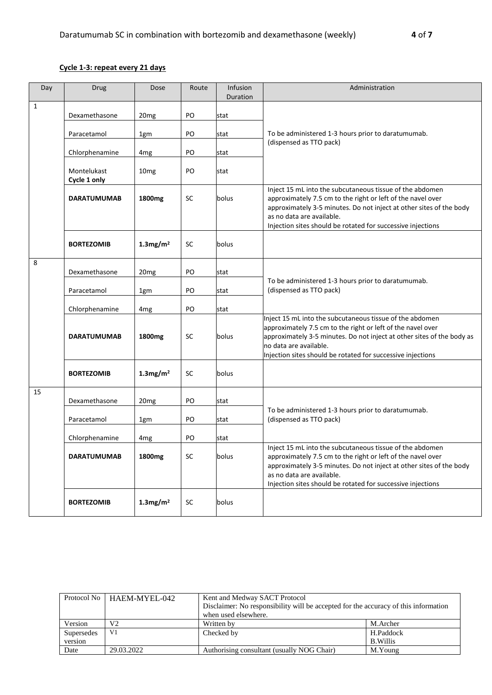# **Cycle 1-3: repeat every 21 days**

| Day          | Drug                        | Dose                    | Route     | Infusion<br>Duration | Administration                                                                                                                                                                                                                                                                             |
|--------------|-----------------------------|-------------------------|-----------|----------------------|--------------------------------------------------------------------------------------------------------------------------------------------------------------------------------------------------------------------------------------------------------------------------------------------|
| $\mathbf{1}$ | Dexamethasone               | 20 <sub>mg</sub>        | PO        | stat                 |                                                                                                                                                                                                                                                                                            |
|              | Paracetamol                 | 1gm                     | PO        | stat                 | To be administered 1-3 hours prior to daratumumab.                                                                                                                                                                                                                                         |
|              | Chlorphenamine              | 4 <sub>mg</sub>         | PO        | stat                 | (dispensed as TTO pack)                                                                                                                                                                                                                                                                    |
|              | Montelukast<br>Cycle 1 only | 10 <sub>mg</sub>        | PO        | stat                 |                                                                                                                                                                                                                                                                                            |
|              | <b>DARATUMUMAB</b>          | 1800mg                  | <b>SC</b> | bolus                | Inject 15 mL into the subcutaneous tissue of the abdomen<br>approximately 7.5 cm to the right or left of the navel over<br>approximately 3-5 minutes. Do not inject at other sites of the body<br>as no data are available.<br>Injection sites should be rotated for successive injections |
|              | <b>BORTEZOMIB</b>           | $1.3$ mg/m <sup>2</sup> | <b>SC</b> | bolus                |                                                                                                                                                                                                                                                                                            |
| 8            | Dexamethasone               | 20 <sub>mg</sub>        | PO        | stat                 |                                                                                                                                                                                                                                                                                            |
|              | Paracetamol                 | 1gm                     | PO        | stat                 | To be administered 1-3 hours prior to daratumumab.<br>(dispensed as TTO pack)                                                                                                                                                                                                              |
|              | Chlorphenamine              | 4 <sub>mg</sub>         | PO        | stat                 |                                                                                                                                                                                                                                                                                            |
|              | <b>DARATUMUMAB</b>          | 1800 <sub>mg</sub>      | <b>SC</b> | bolus                | Inject 15 mL into the subcutaneous tissue of the abdomen<br>approximately 7.5 cm to the right or left of the navel over<br>approximately 3-5 minutes. Do not inject at other sites of the body as<br>no data are available.<br>Injection sites should be rotated for successive injections |
|              | <b>BORTEZOMIB</b>           | $1.3$ mg/m <sup>2</sup> | <b>SC</b> | bolus                |                                                                                                                                                                                                                                                                                            |
| 15           | Dexamethasone               | 20 <sub>mg</sub>        | PO        | stat                 |                                                                                                                                                                                                                                                                                            |
|              | Paracetamol                 | 1gm                     | PO        | stat                 | To be administered 1-3 hours prior to daratumumab.<br>(dispensed as TTO pack)                                                                                                                                                                                                              |
|              | Chlorphenamine              | 4 <sub>mg</sub>         | PO        | stat                 |                                                                                                                                                                                                                                                                                            |
|              | <b>DARATUMUMAB</b>          | 1800mg                  | SC        | bolus                | Inject 15 mL into the subcutaneous tissue of the abdomen<br>approximately 7.5 cm to the right or left of the navel over<br>approximately 3-5 minutes. Do not inject at other sites of the body<br>as no data are available.<br>Injection sites should be rotated for successive injections |
|              | <b>BORTEZOMIB</b>           | $1.3$ mg/m <sup>2</sup> | SC        | bolus                |                                                                                                                                                                                                                                                                                            |

|                       | Protocol No   HAEM-MYEL-042 | Kent and Medway SACT Protocol<br>Disclaimer: No responsibility will be accepted for the accuracy of this information<br>when used elsewhere. |          |  |  |
|-----------------------|-----------------------------|----------------------------------------------------------------------------------------------------------------------------------------------|----------|--|--|
| Version               | V2                          | Written by                                                                                                                                   | M.Archer |  |  |
| Supersedes<br>version | V1                          | H.Paddock<br>Checked by<br>B. Willis                                                                                                         |          |  |  |
| Date                  | 29.03.2022                  | Authorising consultant (usually NOG Chair)                                                                                                   | M.Young  |  |  |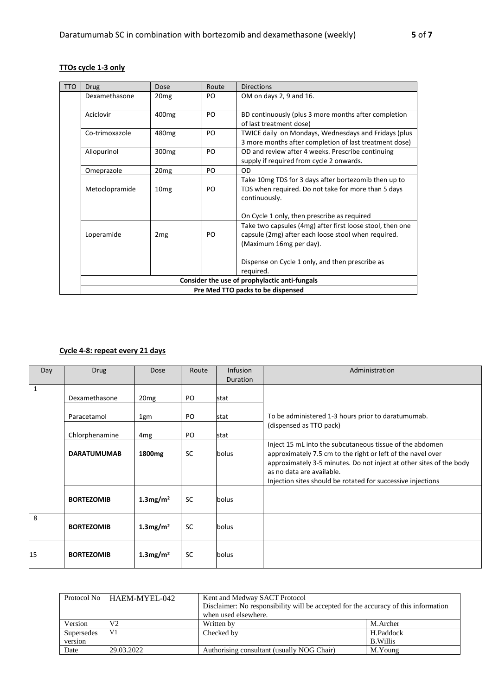### **TTOs cycle 1-3 only**

| <b>TTO</b> | <b>Drug</b>                       | Dose              | Route | <b>Directions</b>                                                                                                                           |  |
|------------|-----------------------------------|-------------------|-------|---------------------------------------------------------------------------------------------------------------------------------------------|--|
|            | Dexamethasone                     | 20 <sub>mg</sub>  | PO.   | OM on days 2, 9 and 16.                                                                                                                     |  |
|            | Aciclovir                         | 400 <sub>mg</sub> | PO    | BD continuously (plus 3 more months after completion<br>of last treatment dose)                                                             |  |
|            | Co-trimoxazole                    | 480 <sub>mg</sub> | PO    | TWICE daily on Mondays, Wednesdays and Fridays (plus<br>3 more months after completion of last treatment dose)                              |  |
|            | Allopurinol                       | 300 <sub>mg</sub> | PO    | OD and review after 4 weeks. Prescribe continuing<br>supply if required from cycle 2 onwards.                                               |  |
|            | Omeprazole                        | 20 <sub>mg</sub>  | PO    | OD                                                                                                                                          |  |
|            | Metoclopramide                    | 10 <sub>mg</sub>  | PO    | Take 10mg TDS for 3 days after bortezomib then up to<br>TDS when required. Do not take for more than 5 days<br>continuously.                |  |
|            |                                   |                   |       | On Cycle 1 only, then prescribe as required                                                                                                 |  |
|            | Loperamide                        | 2 <sub>mg</sub>   | PO    | Take two capsules (4mg) after first loose stool, then one<br>capsule (2mg) after each loose stool when required.<br>(Maximum 16mg per day). |  |
|            |                                   |                   |       | Dispense on Cycle 1 only, and then prescribe as<br>required.                                                                                |  |
|            |                                   |                   |       | Consider the use of prophylactic anti-fungals                                                                                               |  |
|            | Pre Med TTO packs to be dispensed |                   |       |                                                                                                                                             |  |

### **Cycle 4-8: repeat every 21 days**

| Day | <b>Drug</b>        | Dose                    | Route     | <b>Infusion</b><br><b>Duration</b> | Administration                                                                                                                                                                                                                                                                             |
|-----|--------------------|-------------------------|-----------|------------------------------------|--------------------------------------------------------------------------------------------------------------------------------------------------------------------------------------------------------------------------------------------------------------------------------------------|
| 1   | Dexamethasone      | 20 <sub>mg</sub>        | PO        | stat                               |                                                                                                                                                                                                                                                                                            |
|     | Paracetamol        | 1gm                     | PO.       | stat                               | To be administered 1-3 hours prior to daratumumab.                                                                                                                                                                                                                                         |
|     | Chlorphenamine     | 4 <sub>mg</sub>         | PO.       | stat                               | (dispensed as TTO pack)                                                                                                                                                                                                                                                                    |
|     | <b>DARATUMUMAB</b> | 1800 <sub>mg</sub>      | <b>SC</b> | bolus                              | Inject 15 mL into the subcutaneous tissue of the abdomen<br>approximately 7.5 cm to the right or left of the navel over<br>approximately 3-5 minutes. Do not inject at other sites of the body<br>as no data are available.<br>Injection sites should be rotated for successive injections |
|     | <b>BORTEZOMIB</b>  | $1.3$ mg/m <sup>2</sup> | <b>SC</b> | bolus                              |                                                                                                                                                                                                                                                                                            |
| 8   | <b>BORTEZOMIB</b>  | $1.3$ mg/m <sup>2</sup> | <b>SC</b> | bolus                              |                                                                                                                                                                                                                                                                                            |
| 15  | <b>BORTEZOMIB</b>  | $1.3$ mg/m <sup>2</sup> | <b>SC</b> | bolus                              |                                                                                                                                                                                                                                                                                            |

|            | Protocol No   HAEM-MYEL-042 | Kent and Medway SACT Protocol<br>Disclaimer: No responsibility will be accepted for the accuracy of this information<br>when used elsewhere. |                 |  |  |
|------------|-----------------------------|----------------------------------------------------------------------------------------------------------------------------------------------|-----------------|--|--|
| Version    | V2                          | Written by                                                                                                                                   | M.Archer        |  |  |
| Supersedes | V1                          | Checked by                                                                                                                                   | H.Paddock       |  |  |
| version    |                             |                                                                                                                                              | <b>B.Willis</b> |  |  |
| Date       | 29.03.2022                  | Authorising consultant (usually NOG Chair)                                                                                                   | M.Young         |  |  |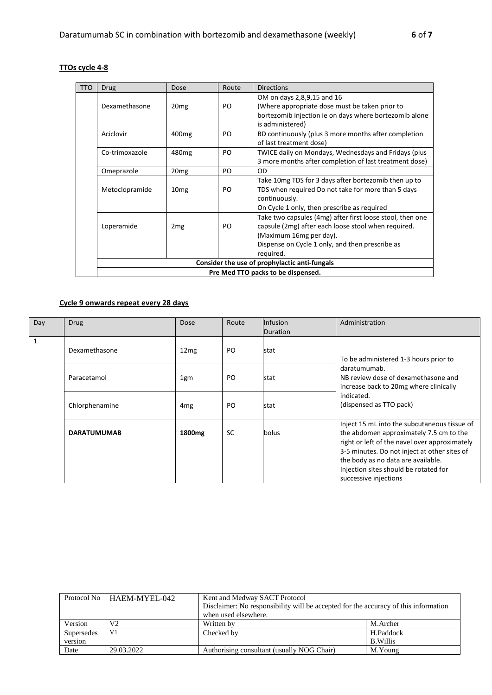#### **TTOs cycle 4-8**

| <b>TTO</b> | <b>Drug</b>                        | Dose              | Route     | <b>Directions</b>                                         |  |
|------------|------------------------------------|-------------------|-----------|-----------------------------------------------------------|--|
|            |                                    |                   |           | OM on days 2,8,9,15 and 16                                |  |
|            | Dexamethasone                      | 20 <sub>mg</sub>  | PO.       | (Where appropriate dose must be taken prior to            |  |
|            |                                    |                   |           | bortezomib injection ie on days where bortezomib alone    |  |
|            |                                    |                   |           | is administered)                                          |  |
|            | Aciclovir                          | 400 <sub>mg</sub> | PO.       | BD continuously (plus 3 more months after completion      |  |
|            |                                    |                   |           | of last treatment dose)                                   |  |
|            | Co-trimoxazole                     | 480 <sub>mg</sub> | PO.       | TWICE daily on Mondays, Wednesdays and Fridays (plus      |  |
|            |                                    |                   |           | 3 more months after completion of last treatment dose)    |  |
|            | Omeprazole                         | 20 <sub>mg</sub>  | PO.       | <b>OD</b>                                                 |  |
|            |                                    |                   |           | Take 10mg TDS for 3 days after bortezomib then up to      |  |
|            | Metoclopramide                     | 10 <sub>mg</sub>  | PO.       | TDS when required Do not take for more than 5 days        |  |
|            |                                    |                   |           | continuously.                                             |  |
|            |                                    |                   |           | On Cycle 1 only, then prescribe as required               |  |
|            |                                    |                   |           | Take two capsules (4mg) after first loose stool, then one |  |
|            | Loperamide                         | 2 <sub>mg</sub>   | PO.       | capsule (2mg) after each loose stool when required.       |  |
|            |                                    |                   |           | (Maximum 16mg per day).                                   |  |
|            |                                    |                   |           | Dispense on Cycle 1 only, and then prescribe as           |  |
|            |                                    |                   | required. |                                                           |  |
|            |                                    |                   |           | Consider the use of prophylactic anti-fungals             |  |
|            | Pre Med TTO packs to be dispensed. |                   |           |                                                           |  |

## **Cycle 9 onwards repeat every 28 days**

| Day | <b>Drug</b>        | <b>Dose</b>        | Route     | <b>Infusion</b><br>Duration | Administration                                                                                                                                                                                                                                                                                   |
|-----|--------------------|--------------------|-----------|-----------------------------|--------------------------------------------------------------------------------------------------------------------------------------------------------------------------------------------------------------------------------------------------------------------------------------------------|
|     | Dexamethasone      | 12mg               | PO        | stat                        | To be administered 1-3 hours prior to<br>daratumumab.<br>NB review dose of dexamethasone and<br>increase back to 20mg where clinically                                                                                                                                                           |
|     | Paracetamol        | 1gm                | PO        | stat                        |                                                                                                                                                                                                                                                                                                  |
|     | Chlorphenamine     | 4 <sub>mg</sub>    | PO        | stat                        | indicated.<br>(dispensed as TTO pack)                                                                                                                                                                                                                                                            |
|     | <b>DARATUMUMAB</b> | 1800 <sub>mg</sub> | <b>SC</b> | bolus                       | Inject 15 mL into the subcutaneous tissue of<br>the abdomen approximately 7.5 cm to the<br>right or left of the navel over approximately<br>3-5 minutes. Do not inject at other sites of<br>the body as no data are available.<br>Injection sites should be rotated for<br>successive injections |

|                       | Protocol No   HAEM-MYEL-042 | Kent and Medway SACT Protocol<br>Disclaimer: No responsibility will be accepted for the accuracy of this information<br>when used elsewhere. |                              |  |
|-----------------------|-----------------------------|----------------------------------------------------------------------------------------------------------------------------------------------|------------------------------|--|
| Version               | V2                          | Written by                                                                                                                                   | M.Archer                     |  |
| Supersedes<br>version | V1                          | Checked by                                                                                                                                   | H.Paddock<br><b>B.Willis</b> |  |
| Date                  | 29.03.2022                  | Authorising consultant (usually NOG Chair)                                                                                                   | M.Young                      |  |